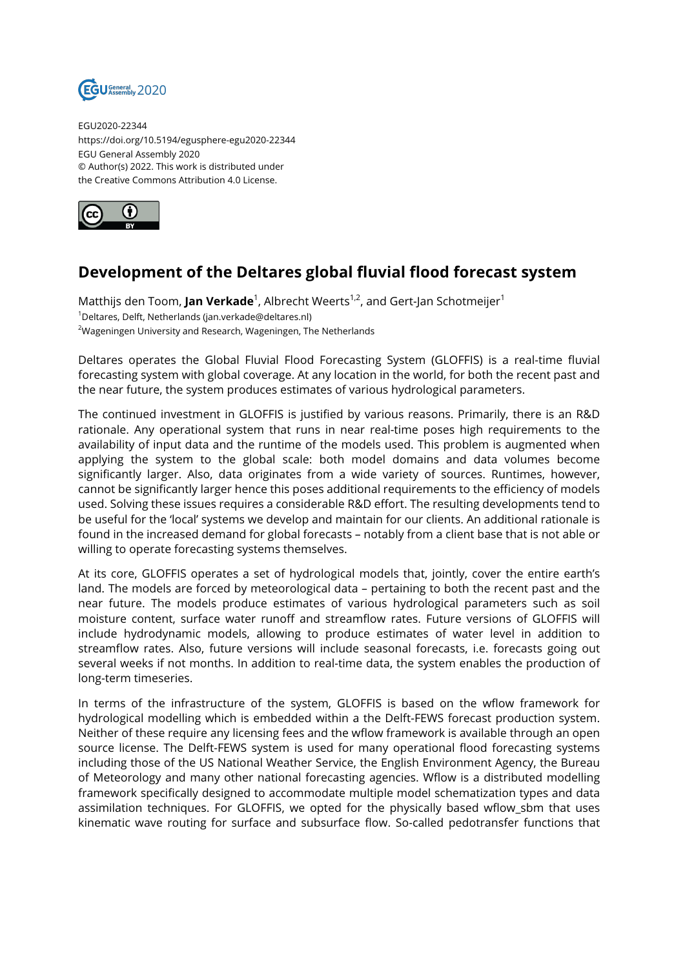

EGU2020-22344 https://doi.org/10.5194/egusphere-egu2020-22344 EGU General Assembly 2020 © Author(s) 2022. This work is distributed under the Creative Commons Attribution 4.0 License.



## **Development of the Deltares global fluvial flood forecast system**

Matthijs den Toom, **Jan Verkade**<sup>1</sup>, Albrecht Weerts<sup>1,2</sup>, and Gert-Jan Schotmeijer<sup>1</sup> <sup>1</sup>Deltares, Delft, Netherlands (jan.verkade@deltares.nl) <sup>2</sup>Wageningen University and Research, Wageningen, The Netherlands

Deltares operates the Global Fluvial Flood Forecasting System (GLOFFIS) is a real-time fluvial forecasting system with global coverage. At any location in the world, for both the recent past and the near future, the system produces estimates of various hydrological parameters.

The continued investment in GLOFFIS is justified by various reasons. Primarily, there is an R&D rationale. Any operational system that runs in near real-time poses high requirements to the availability of input data and the runtime of the models used. This problem is augmented when applying the system to the global scale: both model domains and data volumes become significantly larger. Also, data originates from a wide variety of sources. Runtimes, however, cannot be significantly larger hence this poses additional requirements to the efficiency of models used. Solving these issues requires a considerable R&D effort. The resulting developments tend to be useful for the 'local' systems we develop and maintain for our clients. An additional rationale is found in the increased demand for global forecasts – notably from a client base that is not able or willing to operate forecasting systems themselves.

At its core, GLOFFIS operates a set of hydrological models that, jointly, cover the entire earth's land. The models are forced by meteorological data – pertaining to both the recent past and the near future. The models produce estimates of various hydrological parameters such as soil moisture content, surface water runoff and streamflow rates. Future versions of GLOFFIS will include hydrodynamic models, allowing to produce estimates of water level in addition to streamflow rates. Also, future versions will include seasonal forecasts, i.e. forecasts going out several weeks if not months. In addition to real-time data, the system enables the production of long-term timeseries.

In terms of the infrastructure of the system, GLOFFIS is based on the wflow framework for hydrological modelling which is embedded within a the Delft-FEWS forecast production system. Neither of these require any licensing fees and the wflow framework is available through an open source license. The Delft-FEWS system is used for many operational flood forecasting systems including those of the US National Weather Service, the English Environment Agency, the Bureau of Meteorology and many other national forecasting agencies. Wflow is a distributed modelling framework specifically designed to accommodate multiple model schematization types and data assimilation techniques. For GLOFFIS, we opted for the physically based wflow\_sbm that uses kinematic wave routing for surface and subsurface flow. So-called pedotransfer functions that